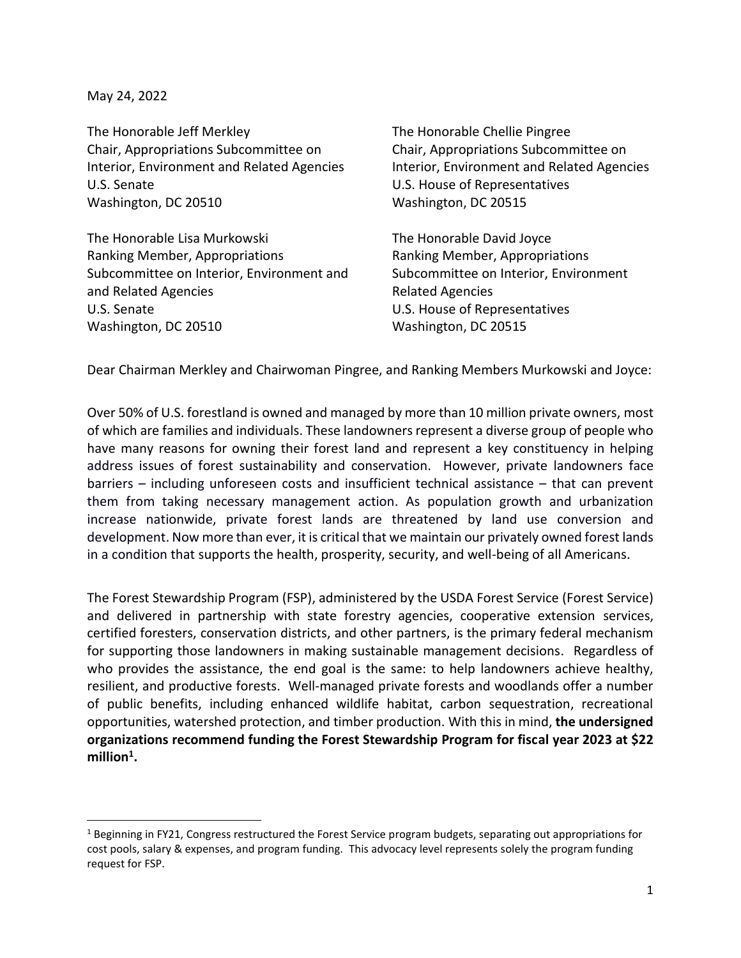May 24, 2022

The Honorable Jeff Merkley The Honorable Chellie Pingree Chair, Appropriations Subcommittee on Chair, Appropriations Subcommittee on Interior, Environment and Related Agencies Interior, Environment and Related Agencies U.S. Senate U.S. House of Representatives Washington, DC 20510 Washington, DC 20515

The Honorable Lisa Murkowski The Honorable David Joyce Ranking Member, Appropriations Ranking Member, Appropriations Subcommittee on Interior, Environment and Subcommittee on Interior, Environment and Related Agencies **Related Agencies** Related Agencies U.S. Senate U.S. House of Representatives Washington, DC 20510 Washington, DC 20515

Dear Chairman Merkley and Chairwoman Pingree, and Ranking Members Murkowski and Joyce:

Over 50% of U.S. forestland is owned and managed by more than 10 million private owners, most of which are families and individuals. These landowners represent a diverse group of people who have many reasons for owning their forest land and represent a key constituency in helping address issues of forest sustainability and conservation. However, private landowners face barriers – including unforeseen costs and insufficient technical assistance – that can prevent them from taking necessary management action. As population growth and urbanization increase nationwide, private forest lands are threatened by land use conversion and development. Now more than ever, it is critical that we maintain our privately owned forest lands in a condition that supports the health, prosperity, security, and well-being of all Americans.

The Forest Stewardship Program (FSP), administered by the USDA Forest Service (Forest Service) and delivered in partnership with state forestry agencies, cooperative extension services, certified foresters, conservation districts, and other partners, is the primary federal mechanism for supporting those landowners in making sustainable management decisions. Regardless of who provides the assistance, the end goal is the same: to help landowners achieve healthy, resilient, and productive forests. Well-managed private forests and woodlands offer a number of public benefits, including enhanced wildlife habitat, carbon sequestration, recreational opportunities, watershed protection, and timber production. With this in mind, **the undersigned organizations recommend funding the Forest Stewardship Program for fiscal year 2023 at \$22 million<sup>1</sup> .**

<sup>&</sup>lt;sup>1</sup> Beginning in FY21, Congress restructured the Forest Service program budgets, separating out appropriations for cost pools, salary & expenses, and program funding.This advocacy level represents solely the program funding request for FSP.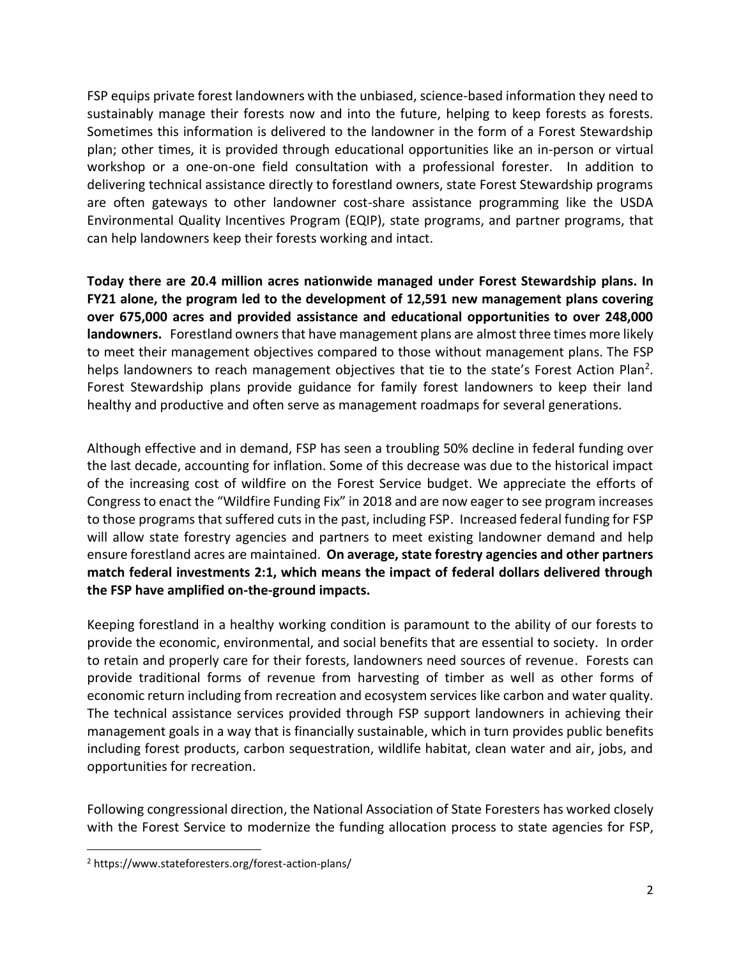FSP equips private forest landowners with the unbiased, science-based information they need to sustainably manage their forests now and into the future, helping to keep forests as forests. Sometimes this information is delivered to the landowner in the form of a Forest Stewardship plan; other times, it is provided through educational opportunities like an in-person or virtual workshop or a one-on-one field consultation with a professional forester. In addition to delivering technical assistance directly to forestland owners, state Forest Stewardship programs are often gateways to other landowner cost-share assistance programming like the USDA Environmental Quality Incentives Program (EQIP), state programs, and partner programs, that can help landowners keep their forests working and intact.

**Today there are 20.4 million acres nationwide managed under Forest Stewardship plans. In FY21 alone, the program led to the development of 12,591 new management plans covering over 675,000 acres and provided assistance and educational opportunities to over 248,000 landowners.** Forestland owners that have management plans are almost three times more likely to meet their management objectives compared to those without management plans. The FSP helps landowners to reach management objectives that tie to the state's Forest Action Plan<sup>2</sup>. Forest Stewardship plans provide guidance for family forest landowners to keep their land healthy and productive and often serve as management roadmaps for several generations.

Although effective and in demand, FSP has seen a troubling 50% decline in federal funding over the last decade, accounting for inflation. Some of this decrease was due to the historical impact of the increasing cost of wildfire on the Forest Service budget. We appreciate the efforts of Congress to enact the "Wildfire Funding Fix" in 2018 and are now eager to see program increases to those programs that suffered cuts in the past, including FSP. Increased federal funding for FSP will allow state forestry agencies and partners to meet existing landowner demand and help ensure forestland acres are maintained. **On average, state forestry agencies and other partners match federal investments 2:1, which means the impact of federal dollars delivered through the FSP have amplified on-the-ground impacts.**

Keeping forestland in a healthy working condition is paramount to the ability of our forests to provide the economic, environmental, and social benefits that are essential to society. In order to retain and properly care for their forests, landowners need sources of revenue. Forests can provide traditional forms of revenue from harvesting of timber as well as other forms of economic return including from recreation and ecosystem services like carbon and water quality. The technical assistance services provided through FSP support landowners in achieving their management goals in a way that is financially sustainable, which in turn provides public benefits including forest products, carbon sequestration, wildlife habitat, clean water and air, jobs, and opportunities for recreation.

Following congressional direction, the National Association of State Foresters has worked closely with the Forest Service to modernize the funding allocation process to state agencies for FSP,

<sup>2</sup> https://www.stateforesters.org/forest-action-plans/